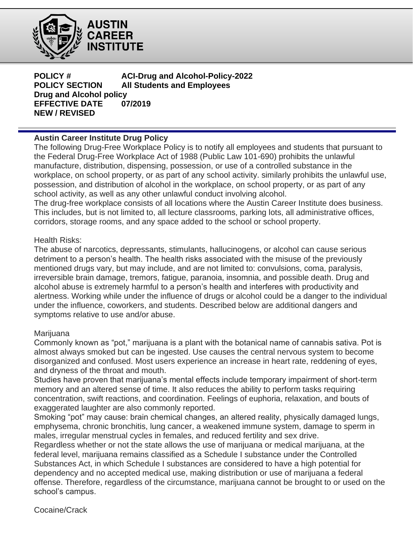

**AUSTIN CAREER** INSTITUTE

**POLICY # ACI-Drug and Alcohol-Policy-2022 POLICY SECTION All Students and Employees Philipment Drug and Alcohol policy EFFECTIVE DATE 07/2019 NEW / REVISED**

# **Austin Career Institute Drug Policy**

The following Drug-Free Workplace Policy is to notify all employees and students that pursuant to the Federal Drug-Free Workplace Act of 1988 (Public Law 101-690) prohibits the unlawful manufacture, distribution, dispensing, possession, or use of a controlled substance in the workplace, on school property, or as part of any school activity. similarly prohibits the unlawful use, possession, and distribution of alcohol in the workplace, on school property, or as part of any school activity, as well as any other unlawful conduct involving alcohol.

The drug-free workplace consists of all locations where the Austin Career Institute does business. This includes, but is not limited to, all lecture classrooms, parking lots, all administrative offices, corridors, storage rooms, and any space added to the school or school property.

# Health Risks:

The abuse of narcotics, depressants, stimulants, hallucinogens, or alcohol can cause serious detriment to a person's health. The health risks associated with the misuse of the previously mentioned drugs vary, but may include, and are not limited to: convulsions, coma, paralysis, irreversible brain damage, tremors, fatigue, paranoia, insomnia, and possible death. Drug and alcohol abuse is extremely harmful to a person's health and interferes with productivity and alertness. Working while under the influence of drugs or alcohol could be a danger to the individual under the influence, coworkers, and students. Described below are additional dangers and symptoms relative to use and/or abuse.

# Marijuana

Commonly known as "pot," marijuana is a plant with the botanical name of cannabis sativa. Pot is almost always smoked but can be ingested. Use causes the central nervous system to become disorganized and confused. Most users experience an increase in heart rate, reddening of eyes, and dryness of the throat and mouth.

Studies have proven that marijuana's mental effects include temporary impairment of short-term memory and an altered sense of time. It also reduces the ability to perform tasks requiring concentration, swift reactions, and coordination. Feelings of euphoria, relaxation, and bouts of exaggerated laughter are also commonly reported.

Smoking "pot" may cause: brain chemical changes, an altered reality, physically damaged lungs, emphysema, chronic bronchitis, lung cancer, a weakened immune system, damage to sperm in males, irregular menstrual cycles in females, and reduced fertility and sex drive.

Regardless whether or not the state allows the use of marijuana or medical marijuana, at the federal level, marijuana remains classified as a Schedule I substance under the Controlled Substances Act, in which Schedule I substances are considered to have a high potential for dependency and no accepted medical use, making distribution or use of marijuana a federal offense. Therefore, regardless of the circumstance, marijuana cannot be brought to or used on the school's campus.

Cocaine/Crack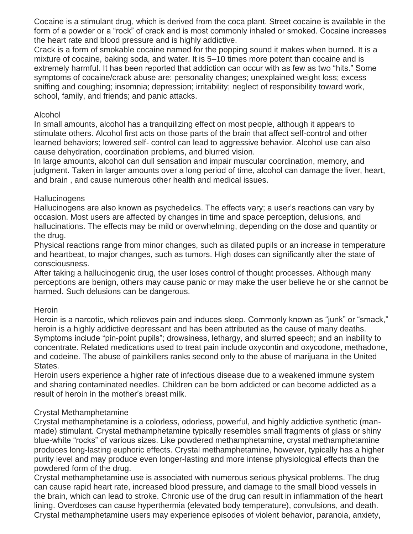Cocaine is a stimulant drug, which is derived from the coca plant. Street cocaine is available in the form of a powder or a "rock" of crack and is most commonly inhaled or smoked. Cocaine increases the heart rate and blood pressure and is highly addictive.

Crack is a form of smokable cocaine named for the popping sound it makes when burned. It is a mixture of cocaine, baking soda, and water. It is 5–10 times more potent than cocaine and is extremely harmful. It has been reported that addiction can occur with as few as two "hits." Some symptoms of cocaine/crack abuse are: personality changes; unexplained weight loss; excess sniffing and coughing; insomnia; depression; irritability; neglect of responsibility toward work, school, family, and friends; and panic attacks.

#### Alcohol

In small amounts, alcohol has a tranquilizing effect on most people, although it appears to stimulate others. Alcohol first acts on those parts of the brain that affect self-control and other learned behaviors; lowered self- control can lead to aggressive behavior. Alcohol use can also cause dehydration, coordination problems, and blurred vision.

In large amounts, alcohol can dull sensation and impair muscular coordination, memory, and judgment. Taken in larger amounts over a long period of time, alcohol can damage the liver, heart, and brain , and cause numerous other health and medical issues.

#### **Hallucinogens**

Hallucinogens are also known as psychedelics. The effects vary; a user's reactions can vary by occasion. Most users are affected by changes in time and space perception, delusions, and hallucinations. The effects may be mild or overwhelming, depending on the dose and quantity or the drug.

Physical reactions range from minor changes, such as dilated pupils or an increase in temperature and heartbeat, to major changes, such as tumors. High doses can significantly alter the state of consciousness.

After taking a hallucinogenic drug, the user loses control of thought processes. Although many perceptions are benign, others may cause panic or may make the user believe he or she cannot be harmed. Such delusions can be dangerous.

# **Heroin**

Heroin is a narcotic, which relieves pain and induces sleep. Commonly known as "junk" or "smack," heroin is a highly addictive depressant and has been attributed as the cause of many deaths. Symptoms include "pin-point pupils"; drowsiness, lethargy, and slurred speech; and an inability to concentrate. Related medications used to treat pain include oxycontin and oxycodone, methadone, and codeine. The abuse of painkillers ranks second only to the abuse of marijuana in the United States.

Heroin users experience a higher rate of infectious disease due to a weakened immune system and sharing contaminated needles. Children can be born addicted or can become addicted as a result of heroin in the mother's breast milk.

# Crystal Methamphetamine

Crystal methamphetamine is a colorless, odorless, powerful, and highly addictive synthetic (manmade) stimulant. Crystal methamphetamine typically resembles small fragments of glass or shiny blue-white "rocks" of various sizes. Like powdered methamphetamine, crystal methamphetamine produces long-lasting euphoric effects. Crystal methamphetamine, however, typically has a higher purity level and may produce even longer-lasting and more intense physiological effects than the powdered form of the drug.

Crystal methamphetamine use is associated with numerous serious physical problems. The drug can cause rapid heart rate, increased blood pressure, and damage to the small blood vessels in the brain, which can lead to stroke. Chronic use of the drug can result in inflammation of the heart lining. Overdoses can cause hyperthermia (elevated body temperature), convulsions, and death. Crystal methamphetamine users may experience episodes of violent behavior, paranoia, anxiety,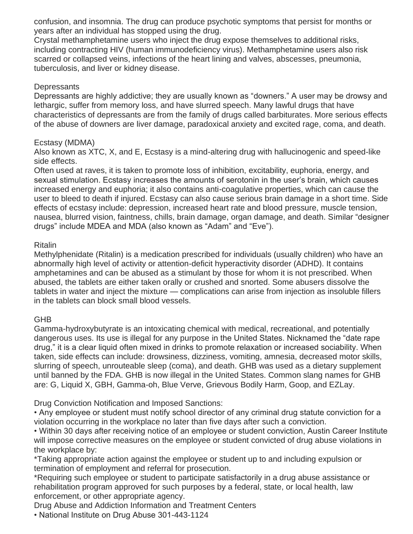confusion, and insomnia. The drug can produce psychotic symptoms that persist for months or years after an individual has stopped using the drug.

Crystal methamphetamine users who inject the drug expose themselves to additional risks, including contracting HIV (human immunodeficiency virus). Methamphetamine users also risk scarred or collapsed veins, infections of the heart lining and valves, abscesses, pneumonia, tuberculosis, and liver or kidney disease.

#### **Depressants**

Depressants are highly addictive; they are usually known as "downers." A user may be drowsy and lethargic, suffer from memory loss, and have slurred speech. Many lawful drugs that have characteristics of depressants are from the family of drugs called barbiturates. More serious effects of the abuse of downers are liver damage, paradoxical anxiety and excited rage, coma, and death.

#### Ecstasy (MDMA)

Also known as XTC, X, and E, Ecstasy is a mind-altering drug with hallucinogenic and speed-like side effects.

Often used at raves, it is taken to promote loss of inhibition, excitability, euphoria, energy, and sexual stimulation. Ecstasy increases the amounts of serotonin in the user's brain, which causes increased energy and euphoria; it also contains anti-coagulative properties, which can cause the user to bleed to death if injured. Ecstasy can also cause serious brain damage in a short time. Side effects of ecstasy include: depression, increased heart rate and blood pressure, muscle tension, nausea, blurred vision, faintness, chills, brain damage, organ damage, and death. Similar "designer drugs" include MDEA and MDA (also known as "Adam" and "Eve").

#### **Ritalin**

Methylphenidate (Ritalin) is a medication prescribed for individuals (usually children) who have an abnormally high level of activity or attention-deficit hyperactivity disorder (ADHD). It contains amphetamines and can be abused as a stimulant by those for whom it is not prescribed. When abused, the tablets are either taken orally or crushed and snorted. Some abusers dissolve the tablets in water and inject the mixture — complications can arise from injection as insoluble fillers in the tablets can block small blood vessels.

# GHB

Gamma-hydroxybutyrate is an intoxicating chemical with medical, recreational, and potentially dangerous uses. Its use is illegal for any purpose in the United States. Nicknamed the "date rape drug," it is a clear liquid often mixed in drinks to promote relaxation or increased sociability. When taken, side effects can include: drowsiness, dizziness, vomiting, amnesia, decreased motor skills, slurring of speech, unrouteable sleep (coma), and death. GHB was used as a dietary supplement until banned by the FDA. GHB is now illegal in the United States. Common slang names for GHB are: G, Liquid X, GBH, Gamma-oh, Blue Verve, Grievous Bodily Harm, Goop, and EZLay.

Drug Conviction Notification and Imposed Sanctions:

• Any employee or student must notify school director of any criminal drug statute conviction for a violation occurring in the workplace no later than five days after such a conviction.

• Within 30 days after receiving notice of an employee or student conviction, Austin Career Institute will impose corrective measures on the employee or student convicted of drug abuse violations in the workplace by:

\*Taking appropriate action against the employee or student up to and including expulsion or termination of employment and referral for prosecution.

\*Requiring such employee or student to participate satisfactorily in a drug abuse assistance or rehabilitation program approved for such purposes by a federal, state, or local health, law enforcement, or other appropriate agency.

Drug Abuse and Addiction Information and Treatment Centers

• National Institute on Drug Abuse 301-443-1124